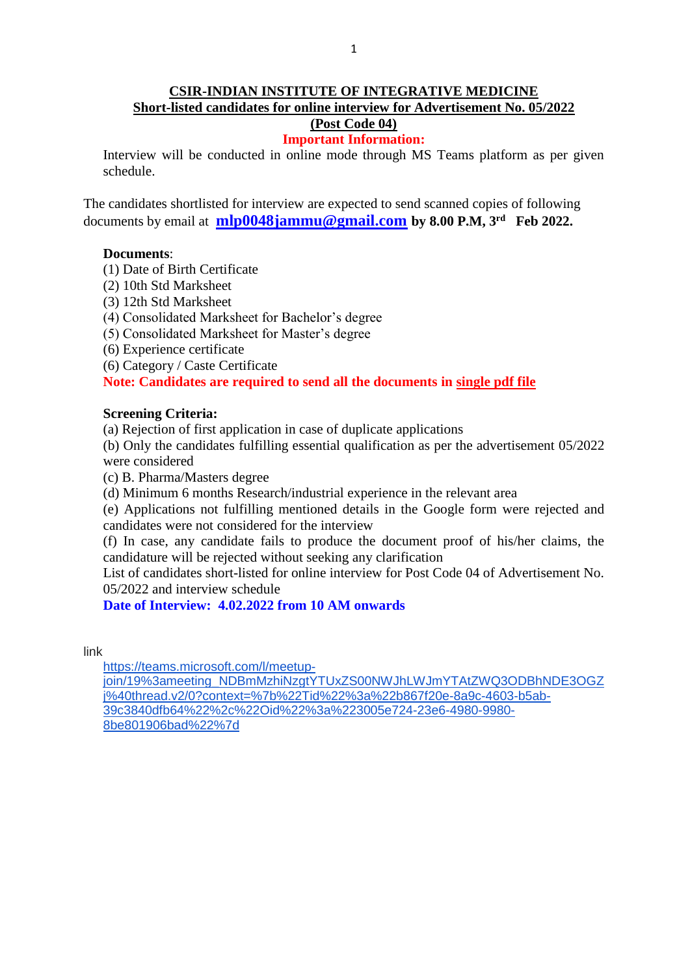# **CSIR-INDIAN INSTITUTE OF INTEGRATIVE MEDICINE Short-listed candidates for online interview for Advertisement No. 05/2022 (Post Code 04)**

# **Important Information:**

Interview will be conducted in online mode through MS Teams platform as per given schedule.

The candidates shortlisted for interview are expected to send scanned copies of following documents by email at **[mlp0048jammu@gmail.com](mailto:mlp0048jammu@gmail.com) by 8.00 P.M, 3 rd Feb 2022.** 

### **Documents**:

- (1) Date of Birth Certificate
- (2) 10th Std Marksheet
- (3) 12th Std Marksheet
- (4) Consolidated Marksheet for Bachelor's degree
- (5) Consolidated Marksheet for Master's degree
- (6) Experience certificate
- (6) Category / Caste Certificate

## **Note: Candidates are required to send all the documents in single pdf file**

### **Screening Criteria:**

(a) Rejection of first application in case of duplicate applications

(b) Only the candidates fulfilling essential qualification as per the advertisement 05/2022 were considered

- (c) B. Pharma/Masters degree
- (d) Minimum 6 months Research/industrial experience in the relevant area

(e) Applications not fulfilling mentioned details in the Google form were rejected and candidates were not considered for the interview

(f) In case, any candidate fails to produce the document proof of his/her claims, the candidature will be rejected without seeking any clarification

List of candidates short-listed for online interview for Post Code 04 of Advertisement No. 05/2022 and interview schedule

# **Date of Interview: 4.02.2022 from 10 AM onwards**

link

[https://teams.microsoft.com/l/meetup](https://teams.microsoft.com/l/meetup-join/19%3ameeting_NDBmMzhiNzgtYTUxZS00NWJhLWJmYTAtZWQ3ODBhNDE3OGZj%40thread.v2/0?context=%7b%22Tid%22%3a%22b867f20e-8a9c-4603-b5ab-39c3840dfb64%22%2c%22Oid%22%3a%223005e724-23e6-4980-9980-8be801906bad%22%7d)[join/19%3ameeting\\_NDBmMzhiNzgtYTUxZS00NWJhLWJmYTAtZWQ3ODBhNDE3OGZ](https://teams.microsoft.com/l/meetup-join/19%3ameeting_NDBmMzhiNzgtYTUxZS00NWJhLWJmYTAtZWQ3ODBhNDE3OGZj%40thread.v2/0?context=%7b%22Tid%22%3a%22b867f20e-8a9c-4603-b5ab-39c3840dfb64%22%2c%22Oid%22%3a%223005e724-23e6-4980-9980-8be801906bad%22%7d) [j%40thread.v2/0?context=%7b%22Tid%22%3a%22b867f20e-8a9c-4603-b5ab-](https://teams.microsoft.com/l/meetup-join/19%3ameeting_NDBmMzhiNzgtYTUxZS00NWJhLWJmYTAtZWQ3ODBhNDE3OGZj%40thread.v2/0?context=%7b%22Tid%22%3a%22b867f20e-8a9c-4603-b5ab-39c3840dfb64%22%2c%22Oid%22%3a%223005e724-23e6-4980-9980-8be801906bad%22%7d)[39c3840dfb64%22%2c%22Oid%22%3a%223005e724-23e6-4980-9980-](https://teams.microsoft.com/l/meetup-join/19%3ameeting_NDBmMzhiNzgtYTUxZS00NWJhLWJmYTAtZWQ3ODBhNDE3OGZj%40thread.v2/0?context=%7b%22Tid%22%3a%22b867f20e-8a9c-4603-b5ab-39c3840dfb64%22%2c%22Oid%22%3a%223005e724-23e6-4980-9980-8be801906bad%22%7d) [8be801906bad%22%7d](https://teams.microsoft.com/l/meetup-join/19%3ameeting_NDBmMzhiNzgtYTUxZS00NWJhLWJmYTAtZWQ3ODBhNDE3OGZj%40thread.v2/0?context=%7b%22Tid%22%3a%22b867f20e-8a9c-4603-b5ab-39c3840dfb64%22%2c%22Oid%22%3a%223005e724-23e6-4980-9980-8be801906bad%22%7d)